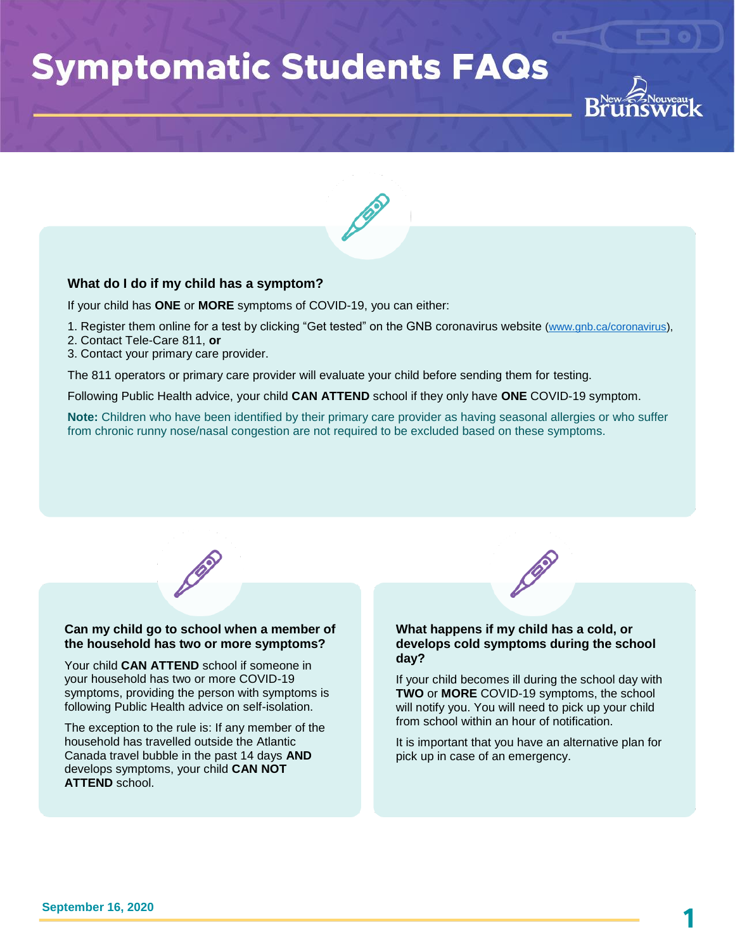# **Symptomatic Students FAQs**



### **What do I do if my child has a symptom?**

If your child has **ONE** or **MORE** symptoms of COVID-19, you can either:

- 1. Register them online for a test by clicking "Get tested" on the GNB coronavirus website [\(www.gnb.ca/coronavirus\)](http://www.gnb.ca/coronavirus),
- 2. Contact Tele-Care 811, **or**
- 3. Contact your primary care provider.

The 811 operators or primary care provider will evaluate your child before sending them for testing.

Following Public Health advice, your child **CAN ATTEND** school if they only have **ONE** COVID-19 symptom.

**Note:** Children who have been identified by their primary care provider as having seasonal allergies or who suffer from chronic runny nose/nasal congestion are not required to be excluded based on these symptoms.



#### **Can my child go to school when a member of the household has two or more symptoms?**

Your child **CAN ATTEND** school if someone in your household has two or more COVID-19 symptoms, providing the person with symptoms is following Public Health advice on self-isolation.

The exception to the rule is: If any member of the household has travelled outside the Atlantic Canada travel bubble in the past 14 days **AND** develops symptoms, your child **CAN NOT ATTEND** school.



### **What happens if my child has a cold, or develops cold symptoms during the school day?**

If your child becomes ill during the school day with **TWO** or **MORE** COVID-19 symptoms, the school will notify you. You will need to pick up your child from school within an hour of notification.

It is important that you have an alternative plan for pick up in case of an emergency.